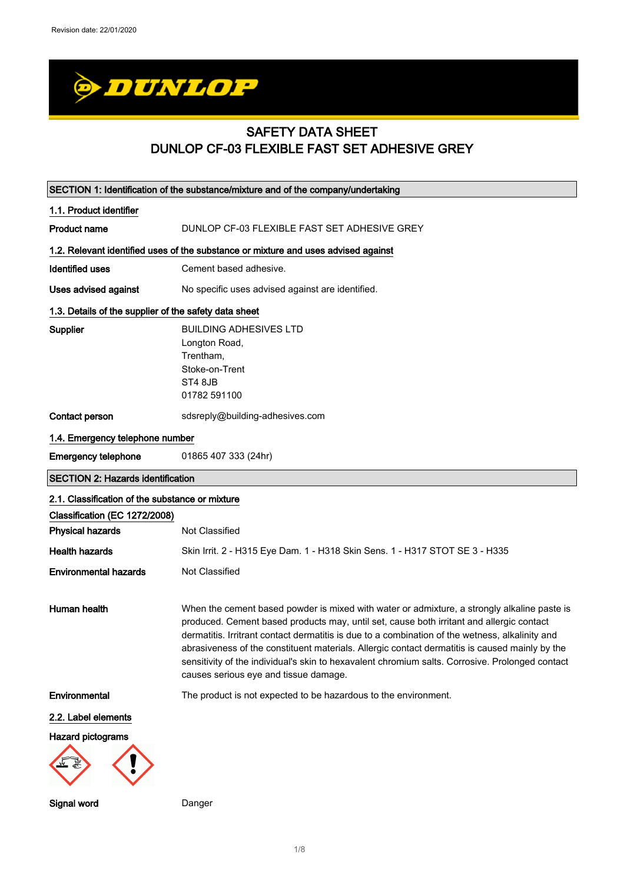

## SAFETY DATA SHEET DUNLOP CF-03 FLEXIBLE FAST SET ADHESIVE GREY

|                                                       | SECTION 1: Identification of the substance/mixture and of the company/undertaking                                                                                                                                                                                                                                                                                                                                                                                                                                                        |
|-------------------------------------------------------|------------------------------------------------------------------------------------------------------------------------------------------------------------------------------------------------------------------------------------------------------------------------------------------------------------------------------------------------------------------------------------------------------------------------------------------------------------------------------------------------------------------------------------------|
| 1.1. Product identifier                               |                                                                                                                                                                                                                                                                                                                                                                                                                                                                                                                                          |
| <b>Product name</b>                                   | DUNLOP CF-03 FLEXIBLE FAST SET ADHESIVE GREY                                                                                                                                                                                                                                                                                                                                                                                                                                                                                             |
|                                                       | 1.2. Relevant identified uses of the substance or mixture and uses advised against                                                                                                                                                                                                                                                                                                                                                                                                                                                       |
| <b>Identified uses</b>                                | Cement based adhesive.                                                                                                                                                                                                                                                                                                                                                                                                                                                                                                                   |
| Uses advised against                                  | No specific uses advised against are identified.                                                                                                                                                                                                                                                                                                                                                                                                                                                                                         |
| 1.3. Details of the supplier of the safety data sheet |                                                                                                                                                                                                                                                                                                                                                                                                                                                                                                                                          |
| <b>Supplier</b>                                       | <b>BUILDING ADHESIVES LTD</b><br>Longton Road,<br>Trentham,<br>Stoke-on-Trent<br>ST4 8JB<br>01782 591100                                                                                                                                                                                                                                                                                                                                                                                                                                 |
| Contact person                                        | sdsreply@building-adhesives.com                                                                                                                                                                                                                                                                                                                                                                                                                                                                                                          |
| 1.4. Emergency telephone number                       |                                                                                                                                                                                                                                                                                                                                                                                                                                                                                                                                          |
| <b>Emergency telephone</b>                            | 01865 407 333 (24hr)                                                                                                                                                                                                                                                                                                                                                                                                                                                                                                                     |
| <b>SECTION 2: Hazards identification</b>              |                                                                                                                                                                                                                                                                                                                                                                                                                                                                                                                                          |
| 2.1. Classification of the substance or mixture       |                                                                                                                                                                                                                                                                                                                                                                                                                                                                                                                                          |
| Classification (EC 1272/2008)                         |                                                                                                                                                                                                                                                                                                                                                                                                                                                                                                                                          |
| <b>Physical hazards</b>                               | Not Classified                                                                                                                                                                                                                                                                                                                                                                                                                                                                                                                           |
| <b>Health hazards</b>                                 | Skin Irrit. 2 - H315 Eye Dam. 1 - H318 Skin Sens. 1 - H317 STOT SE 3 - H335                                                                                                                                                                                                                                                                                                                                                                                                                                                              |
| <b>Environmental hazards</b>                          | <b>Not Classified</b>                                                                                                                                                                                                                                                                                                                                                                                                                                                                                                                    |
| Human health                                          | When the cement based powder is mixed with water or admixture, a strongly alkaline paste is<br>produced. Cement based products may, until set, cause both irritant and allergic contact<br>dermatitis. Irritrant contact dermatitis is due to a combination of the wetness, alkalinity and<br>abrasiveness of the constituent materials. Allergic contact dermatitis is caused mainly by the<br>sensitivity of the individual's skin to hexavalent chromium salts. Corrosive. Prolonged contact<br>causes serious eye and tissue damage. |
| Environmental                                         | The product is not expected to be hazardous to the environment.                                                                                                                                                                                                                                                                                                                                                                                                                                                                          |
| 2.2. Label elements                                   |                                                                                                                                                                                                                                                                                                                                                                                                                                                                                                                                          |
| <b>Hazard pictograms</b>                              |                                                                                                                                                                                                                                                                                                                                                                                                                                                                                                                                          |
| Signal word                                           | Danger                                                                                                                                                                                                                                                                                                                                                                                                                                                                                                                                   |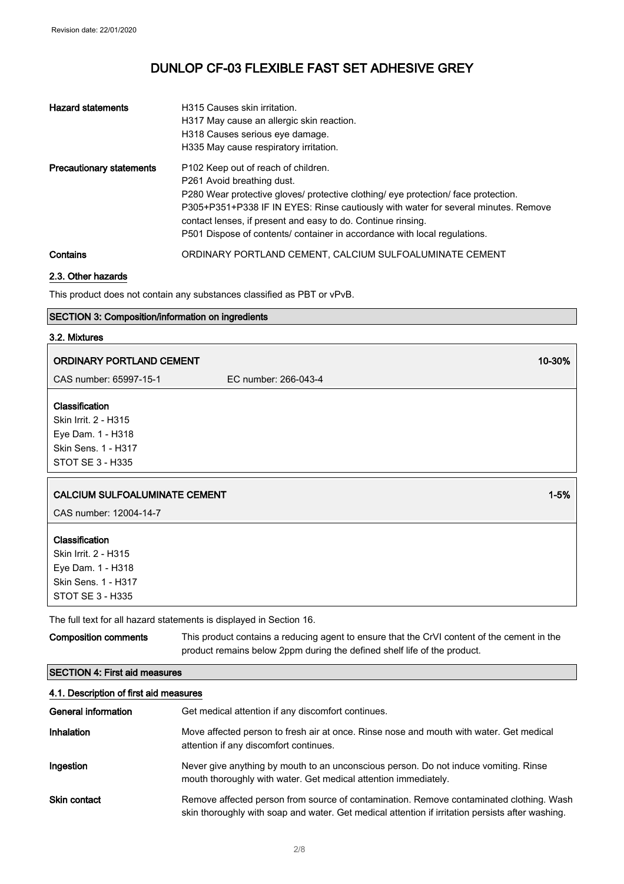| <b>Hazard statements</b>        | H315 Causes skin irritation.<br>H317 May cause an allergic skin reaction.<br>H318 Causes serious eye damage.<br>H335 May cause respiratory irritation.                                                                                                                                                                                                                                                 |
|---------------------------------|--------------------------------------------------------------------------------------------------------------------------------------------------------------------------------------------------------------------------------------------------------------------------------------------------------------------------------------------------------------------------------------------------------|
| <b>Precautionary statements</b> | P <sub>102</sub> Keep out of reach of children.<br>P261 Avoid breathing dust.<br>P280 Wear protective gloves/ protective clothing/ eye protection/ face protection.<br>P305+P351+P338 IF IN EYES: Rinse cautiously with water for several minutes. Remove<br>contact lenses, if present and easy to do. Continue rinsing.<br>P501 Dispose of contents/ container in accordance with local regulations. |
| Contains                        | ORDINARY PORTLAND CEMENT, CALCIUM SULFOALUMINATE CEMENT                                                                                                                                                                                                                                                                                                                                                |

#### 2.3. Other hazards

This product does not contain any substances classified as PBT or vPvB.

## SECTION 3: Composition/information on ingredients

#### 3.2. Mixtures

| <b>ORDINARY PORTLAND CEMENT</b>                                                                               |                      | 10-30%   |
|---------------------------------------------------------------------------------------------------------------|----------------------|----------|
| CAS number: 65997-15-1                                                                                        | EC number: 266-043-4 |          |
| <b>Classification</b><br>Skin Irrit. 2 - H315<br>Eye Dam. 1 - H318<br>Skin Sens. 1 - H317<br>STOT SE 3 - H335 |                      |          |
|                                                                                                               |                      |          |
| <b>CALCIUM SULFOALUMINATE CEMENT</b>                                                                          |                      | $1 - 5%$ |
| CAS number: 12004-14-7                                                                                        |                      |          |
| <b>Classification</b><br>Skin Irrit. 2 - H315<br>Eye Dam. 1 - H318<br>Skin Sens. 1 - H317<br>STOT SE 3 - H335 |                      |          |

Composition comments This product contains a reducing agent to ensure that the CrVI content of the cement in the product remains below 2ppm during the defined shelf life of the product.

### SECTION 4: First aid measures

| 4.1. Description of first aid measures |                                                                                                                                                                                             |  |
|----------------------------------------|---------------------------------------------------------------------------------------------------------------------------------------------------------------------------------------------|--|
| General information                    | Get medical attention if any discomfort continues.                                                                                                                                          |  |
| Inhalation                             | Move affected person to fresh air at once. Rinse nose and mouth with water. Get medical<br>attention if any discomfort continues.                                                           |  |
| Ingestion                              | Never give anything by mouth to an unconscious person. Do not induce vomiting. Rinse<br>mouth thoroughly with water. Get medical attention immediately.                                     |  |
| Skin contact                           | Remove affected person from source of contamination. Remove contaminated clothing. Wash<br>skin thoroughly with soap and water. Get medical attention if irritation persists after washing. |  |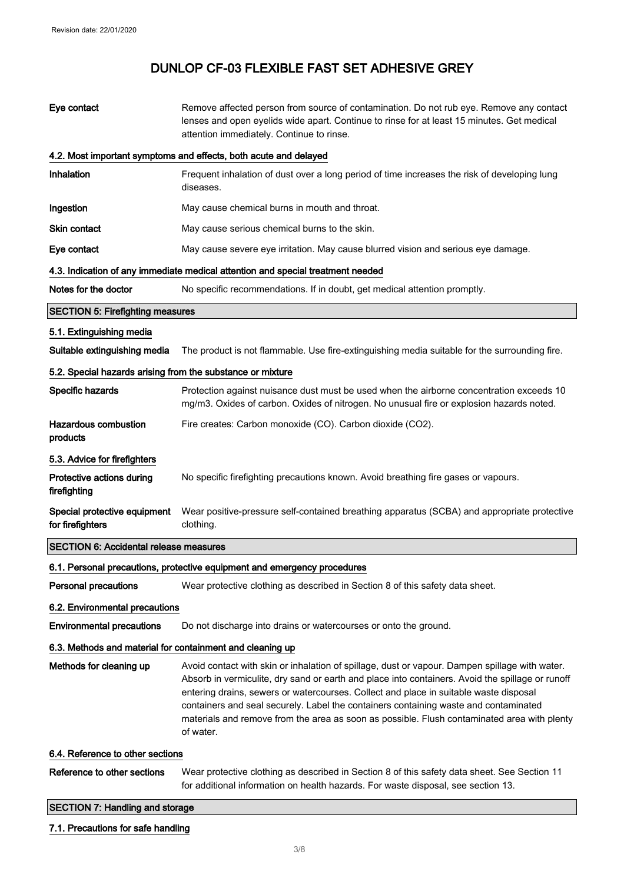| Eye contact                                                | Remove affected person from source of contamination. Do not rub eye. Remove any contact<br>lenses and open eyelids wide apart. Continue to rinse for at least 15 minutes. Get medical<br>attention immediately. Continue to rinse.                                                                                                                                                                                                                                                              |  |
|------------------------------------------------------------|-------------------------------------------------------------------------------------------------------------------------------------------------------------------------------------------------------------------------------------------------------------------------------------------------------------------------------------------------------------------------------------------------------------------------------------------------------------------------------------------------|--|
|                                                            | 4.2. Most important symptoms and effects, both acute and delayed                                                                                                                                                                                                                                                                                                                                                                                                                                |  |
| Inhalation                                                 | Frequent inhalation of dust over a long period of time increases the risk of developing lung<br>diseases.                                                                                                                                                                                                                                                                                                                                                                                       |  |
| Ingestion                                                  | May cause chemical burns in mouth and throat.                                                                                                                                                                                                                                                                                                                                                                                                                                                   |  |
| Skin contact                                               | May cause serious chemical burns to the skin.                                                                                                                                                                                                                                                                                                                                                                                                                                                   |  |
| Eye contact                                                | May cause severe eye irritation. May cause blurred vision and serious eye damage.                                                                                                                                                                                                                                                                                                                                                                                                               |  |
|                                                            | 4.3. Indication of any immediate medical attention and special treatment needed                                                                                                                                                                                                                                                                                                                                                                                                                 |  |
| Notes for the doctor                                       | No specific recommendations. If in doubt, get medical attention promptly.                                                                                                                                                                                                                                                                                                                                                                                                                       |  |
| <b>SECTION 5: Firefighting measures</b>                    |                                                                                                                                                                                                                                                                                                                                                                                                                                                                                                 |  |
| 5.1. Extinguishing media                                   |                                                                                                                                                                                                                                                                                                                                                                                                                                                                                                 |  |
| Suitable extinguishing media                               | The product is not flammable. Use fire-extinguishing media suitable for the surrounding fire.                                                                                                                                                                                                                                                                                                                                                                                                   |  |
| 5.2. Special hazards arising from the substance or mixture |                                                                                                                                                                                                                                                                                                                                                                                                                                                                                                 |  |
| Specific hazards                                           | Protection against nuisance dust must be used when the airborne concentration exceeds 10<br>mg/m3. Oxides of carbon. Oxides of nitrogen. No unusual fire or explosion hazards noted.                                                                                                                                                                                                                                                                                                            |  |
| <b>Hazardous combustion</b><br>products                    | Fire creates: Carbon monoxide (CO). Carbon dioxide (CO2).                                                                                                                                                                                                                                                                                                                                                                                                                                       |  |
| 5.3. Advice for firefighters                               |                                                                                                                                                                                                                                                                                                                                                                                                                                                                                                 |  |
| Protective actions during<br>firefighting                  | No specific firefighting precautions known. Avoid breathing fire gases or vapours.                                                                                                                                                                                                                                                                                                                                                                                                              |  |
| Special protective equipment<br>for firefighters           | Wear positive-pressure self-contained breathing apparatus (SCBA) and appropriate protective<br>clothing.                                                                                                                                                                                                                                                                                                                                                                                        |  |
| <b>SECTION 6: Accidental release measures</b>              |                                                                                                                                                                                                                                                                                                                                                                                                                                                                                                 |  |
|                                                            | 6.1. Personal precautions, protective equipment and emergency procedures                                                                                                                                                                                                                                                                                                                                                                                                                        |  |
| <b>Personal precautions</b>                                | Wear protective clothing as described in Section 8 of this safety data sheet.                                                                                                                                                                                                                                                                                                                                                                                                                   |  |
| 6.2. Environmental precautions                             |                                                                                                                                                                                                                                                                                                                                                                                                                                                                                                 |  |
| <b>Environmental precautions</b>                           | Do not discharge into drains or watercourses or onto the ground.                                                                                                                                                                                                                                                                                                                                                                                                                                |  |
| 6.3. Methods and material for containment and cleaning up  |                                                                                                                                                                                                                                                                                                                                                                                                                                                                                                 |  |
| Methods for cleaning up                                    | Avoid contact with skin or inhalation of spillage, dust or vapour. Dampen spillage with water.<br>Absorb in vermiculite, dry sand or earth and place into containers. Avoid the spillage or runoff<br>entering drains, sewers or watercourses. Collect and place in suitable waste disposal<br>containers and seal securely. Label the containers containing waste and contaminated<br>materials and remove from the area as soon as possible. Flush contaminated area with plenty<br>of water. |  |
| 6.4. Reference to other sections                           |                                                                                                                                                                                                                                                                                                                                                                                                                                                                                                 |  |
| Reference to other sections                                | Wear protective clothing as described in Section 8 of this safety data sheet. See Section 11<br>for additional information on health hazards. For waste disposal, see section 13.                                                                                                                                                                                                                                                                                                               |  |
| <b>SECTION 7: Handling and storage</b>                     |                                                                                                                                                                                                                                                                                                                                                                                                                                                                                                 |  |

### 7.1. Precautions for safe handling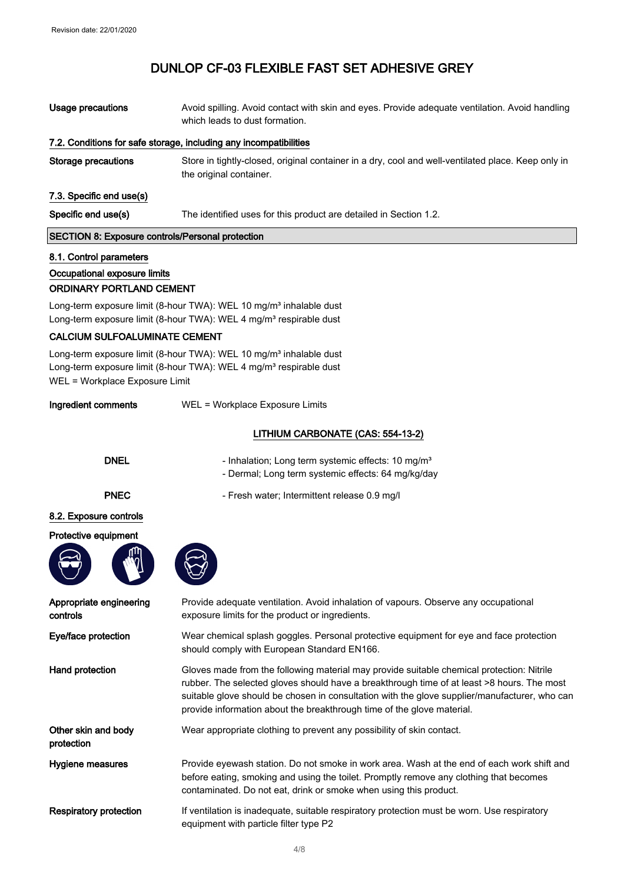| Usage precautions                                       | Avoid spilling. Avoid contact with skin and eyes. Provide adequate ventilation. Avoid handling<br>which leads to dust formation. |  |  |
|---------------------------------------------------------|----------------------------------------------------------------------------------------------------------------------------------|--|--|
|                                                         | 7.2. Conditions for safe storage, including any incompatibilities                                                                |  |  |
| <b>Storage precautions</b>                              | Store in tightly-closed, original container in a dry, cool and well-ventilated place. Keep only in<br>the original container.    |  |  |
| 7.3. Specific end use(s)                                |                                                                                                                                  |  |  |
| Specific end use(s)                                     | The identified uses for this product are detailed in Section 1.2.                                                                |  |  |
| <b>SECTION 8: Exposure controls/Personal protection</b> |                                                                                                                                  |  |  |
|                                                         |                                                                                                                                  |  |  |

### 8.1. Control parameters

protection

## Occupational exposure limits

## ORDINARY PORTLAND CEMENT

Long-term exposure limit (8-hour TWA): WEL 10 mg/m<sup>3</sup> inhalable dust Long-term exposure limit (8-hour TWA): WEL 4 mg/m<sup>3</sup> respirable dust

#### CALCIUM SULFOALUMINATE CEMENT

Long-term exposure limit (8-hour TWA): WEL 10 mg/m<sup>3</sup> inhalable dust Long-term exposure limit (8-hour TWA): WEL 4 mg/m<sup>3</sup> respirable dust WEL = Workplace Exposure Limit

| Ingredient comments | WEL = Workplace Exposure Limits |
|---------------------|---------------------------------|

### LITHIUM CARBONATE (CAS: 554-13-2)

| <b>DNEL</b>                         | - Inhalation; Long term systemic effects: 10 mg/m <sup>3</sup><br>- Dermal; Long term systemic effects: 64 mg/kg/day                   |
|-------------------------------------|----------------------------------------------------------------------------------------------------------------------------------------|
| <b>PNEC</b>                         | - Fresh water; Intermittent release 0.9 mg/l                                                                                           |
| 8.2. Exposure controls              |                                                                                                                                        |
| Protective equipment                |                                                                                                                                        |
|                                     |                                                                                                                                        |
| Appropriate engineering<br>controls | Provide adequate ventilation. Avoid inhalation of vapours. Observe any occupational<br>exposure limits for the product or ingredients. |

Eye/face protection Wear chemical splash goggles. Personal protective equipment for eye and face protection should comply with European Standard EN166.

Hand protection Gloves made from the following material may provide suitable chemical protection: Nitrile rubber. The selected gloves should have a breakthrough time of at least >8 hours. The most suitable glove should be chosen in consultation with the glove supplier/manufacturer, who can provide information about the breakthrough time of the glove material.

Other skin and body Wear appropriate clothing to prevent any possibility of skin contact.

Hygiene measures **Provide eyewash station.** Do not smoke in work area. Wash at the end of each work shift and before eating, smoking and using the toilet. Promptly remove any clothing that becomes contaminated. Do not eat, drink or smoke when using this product.

Respiratory protection If ventilation is inadequate, suitable respiratory protection must be worn. Use respiratory equipment with particle filter type P2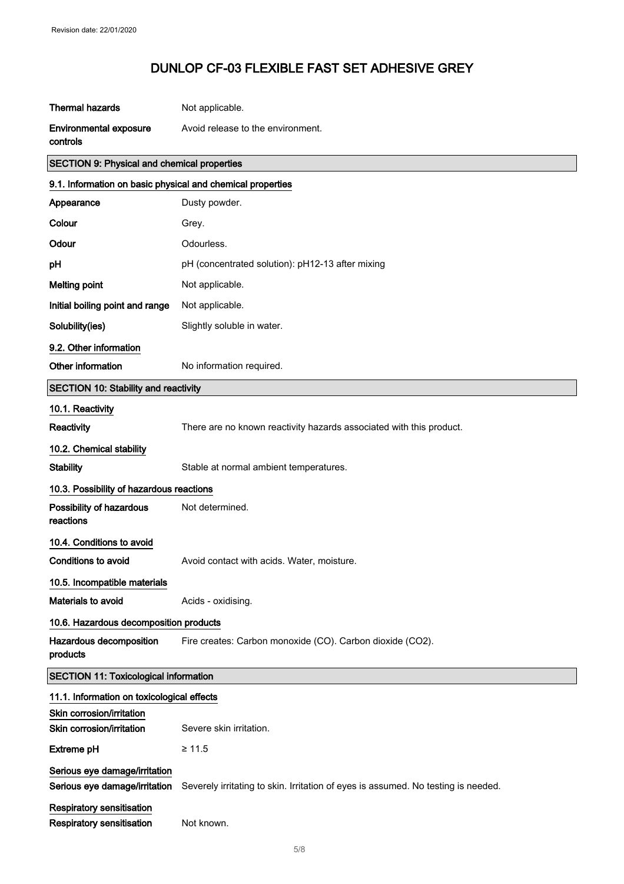| <b>Thermal hazards</b>                                         | Not applicable.                                                                   |
|----------------------------------------------------------------|-----------------------------------------------------------------------------------|
|                                                                |                                                                                   |
| <b>Environmental exposure</b><br>controls                      | Avoid release to the environment.                                                 |
| <b>SECTION 9: Physical and chemical properties</b>             |                                                                                   |
| 9.1. Information on basic physical and chemical properties     |                                                                                   |
| Appearance                                                     | Dusty powder.                                                                     |
| Colour                                                         | Grey.                                                                             |
| Odour                                                          | Odourless.                                                                        |
| pH                                                             | pH (concentrated solution): pH12-13 after mixing                                  |
| <b>Melting point</b>                                           | Not applicable.                                                                   |
| Initial boiling point and range                                | Not applicable.                                                                   |
| Solubility(ies)                                                | Slightly soluble in water.                                                        |
| 9.2. Other information                                         |                                                                                   |
| Other information                                              | No information required.                                                          |
| <b>SECTION 10: Stability and reactivity</b>                    |                                                                                   |
| 10.1. Reactivity                                               |                                                                                   |
| Reactivity                                                     | There are no known reactivity hazards associated with this product.               |
| 10.2. Chemical stability                                       |                                                                                   |
| <b>Stability</b>                                               | Stable at normal ambient temperatures.                                            |
| 10.3. Possibility of hazardous reactions                       |                                                                                   |
| Possibility of hazardous<br>reactions                          | Not determined.                                                                   |
| 10.4. Conditions to avoid                                      |                                                                                   |
| Conditions to avoid                                            | Avoid contact with acids. Water, moisture.                                        |
| 10.5. Incompatible materials                                   |                                                                                   |
| Materials to avoid                                             | Acids - oxidising.                                                                |
| 10.6. Hazardous decomposition products                         |                                                                                   |
| Hazardous decomposition<br>products                            | Fire creates: Carbon monoxide (CO). Carbon dioxide (CO2).                         |
| <b>SECTION 11: Toxicological information</b>                   |                                                                                   |
| 11.1. Information on toxicological effects                     |                                                                                   |
| Skin corrosion/irritation                                      |                                                                                   |
| Skin corrosion/irritation                                      | Severe skin irritation.                                                           |
| <b>Extreme pH</b>                                              | $\geq 11.5$                                                                       |
| Serious eye damage/irritation<br>Serious eye damage/irritation | Severely irritating to skin. Irritation of eyes is assumed. No testing is needed. |
| Respiratory sensitisation<br><b>Respiratory sensitisation</b>  | Not known.                                                                        |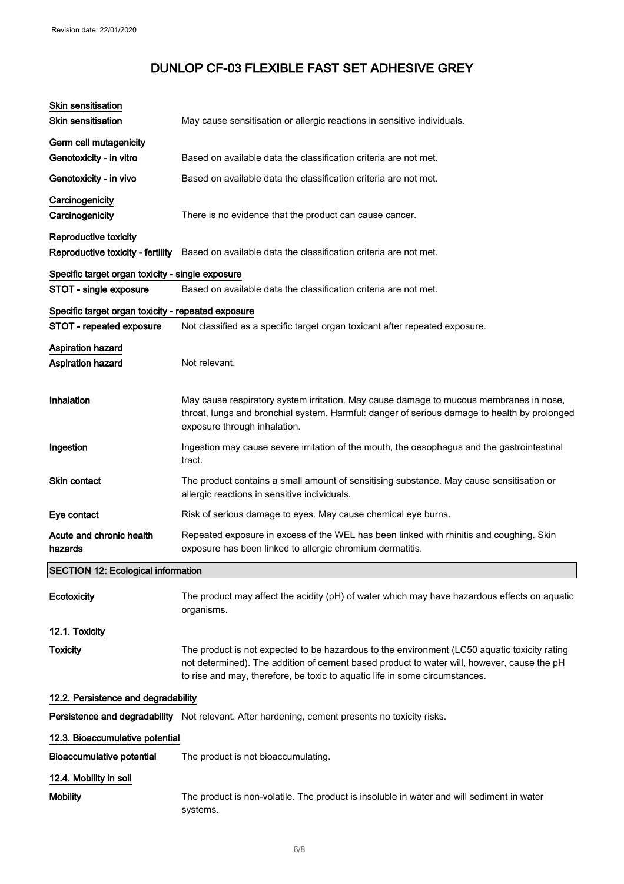| Skin sensitisation<br><b>Skin sensitisation</b>            | May cause sensitisation or allergic reactions in sensitive individuals.                                                                                                                                                                                                   |
|------------------------------------------------------------|---------------------------------------------------------------------------------------------------------------------------------------------------------------------------------------------------------------------------------------------------------------------------|
| Germ cell mutagenicity<br>Genotoxicity - in vitro          | Based on available data the classification criteria are not met.                                                                                                                                                                                                          |
| Genotoxicity - in vivo                                     | Based on available data the classification criteria are not met.                                                                                                                                                                                                          |
| Carcinogenicity<br>Carcinogenicity                         | There is no evidence that the product can cause cancer.                                                                                                                                                                                                                   |
| Reproductive toxicity<br>Reproductive toxicity - fertility | Based on available data the classification criteria are not met.                                                                                                                                                                                                          |
| Specific target organ toxicity - single exposure           |                                                                                                                                                                                                                                                                           |
| STOT - single exposure                                     | Based on available data the classification criteria are not met.                                                                                                                                                                                                          |
| Specific target organ toxicity - repeated exposure         |                                                                                                                                                                                                                                                                           |
| STOT - repeated exposure                                   | Not classified as a specific target organ toxicant after repeated exposure.                                                                                                                                                                                               |
| Aspiration hazard<br>Aspiration hazard                     | Not relevant.                                                                                                                                                                                                                                                             |
| Inhalation                                                 | May cause respiratory system irritation. May cause damage to mucous membranes in nose,<br>throat, lungs and bronchial system. Harmful: danger of serious damage to health by prolonged<br>exposure through inhalation.                                                    |
| Ingestion                                                  | Ingestion may cause severe irritation of the mouth, the oesophagus and the gastrointestinal<br>tract.                                                                                                                                                                     |
| <b>Skin contact</b>                                        | The product contains a small amount of sensitising substance. May cause sensitisation or<br>allergic reactions in sensitive individuals.                                                                                                                                  |
| Eye contact                                                | Risk of serious damage to eyes. May cause chemical eye burns.                                                                                                                                                                                                             |
| Acute and chronic health<br>hazards                        | Repeated exposure in excess of the WEL has been linked with rhinitis and coughing. Skin<br>exposure has been linked to allergic chromium dermatitis.                                                                                                                      |
| <b>SECTION 12: Ecological information</b>                  |                                                                                                                                                                                                                                                                           |
| Ecotoxicity                                                | The product may affect the acidity (pH) of water which may have hazardous effects on aquatic<br>organisms.                                                                                                                                                                |
| 12.1. Toxicity                                             |                                                                                                                                                                                                                                                                           |
| <b>Toxicity</b>                                            | The product is not expected to be hazardous to the environment (LC50 aquatic toxicity rating<br>not determined). The addition of cement based product to water will, however, cause the pH<br>to rise and may, therefore, be toxic to aquatic life in some circumstances. |
| 12.2. Persistence and degradability                        |                                                                                                                                                                                                                                                                           |
|                                                            | Persistence and degradability Not relevant. After hardening, cement presents no toxicity risks.                                                                                                                                                                           |
| 12.3. Bioaccumulative potential                            |                                                                                                                                                                                                                                                                           |
| <b>Bioaccumulative potential</b>                           | The product is not bioaccumulating.                                                                                                                                                                                                                                       |
| 12.4. Mobility in soil                                     |                                                                                                                                                                                                                                                                           |
| <b>Mobility</b>                                            | The product is non-volatile. The product is insoluble in water and will sediment in water<br>systems.                                                                                                                                                                     |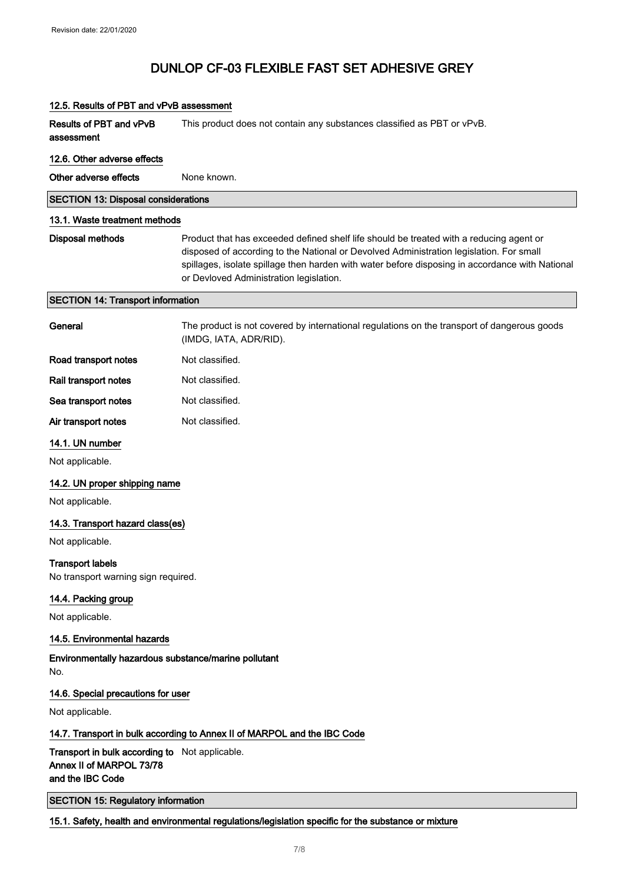| 12.5. Results of PBT and vPvB assessment                                                       |                                                                                                                                                                                                                                                                                                                                  |
|------------------------------------------------------------------------------------------------|----------------------------------------------------------------------------------------------------------------------------------------------------------------------------------------------------------------------------------------------------------------------------------------------------------------------------------|
| <b>Results of PBT and vPvB</b><br>assessment                                                   | This product does not contain any substances classified as PBT or vPvB.                                                                                                                                                                                                                                                          |
| 12.6. Other adverse effects                                                                    |                                                                                                                                                                                                                                                                                                                                  |
| Other adverse effects                                                                          | None known.                                                                                                                                                                                                                                                                                                                      |
| <b>SECTION 13: Disposal considerations</b>                                                     |                                                                                                                                                                                                                                                                                                                                  |
| 13.1. Waste treatment methods                                                                  |                                                                                                                                                                                                                                                                                                                                  |
| <b>Disposal methods</b>                                                                        | Product that has exceeded defined shelf life should be treated with a reducing agent or<br>disposed of according to the National or Devolved Administration legislation. For small<br>spillages, isolate spillage then harden with water before disposing in accordance with National<br>or Devloved Administration legislation. |
| <b>SECTION 14: Transport information</b>                                                       |                                                                                                                                                                                                                                                                                                                                  |
| General                                                                                        | The product is not covered by international regulations on the transport of dangerous goods<br>(IMDG, IATA, ADR/RID).                                                                                                                                                                                                            |
| Road transport notes                                                                           | Not classified.                                                                                                                                                                                                                                                                                                                  |
| Rail transport notes                                                                           | Not classified.                                                                                                                                                                                                                                                                                                                  |
| Sea transport notes                                                                            | Not classified.                                                                                                                                                                                                                                                                                                                  |
| Air transport notes                                                                            | Not classified.                                                                                                                                                                                                                                                                                                                  |
| 14.1. UN number                                                                                |                                                                                                                                                                                                                                                                                                                                  |
| Not applicable.                                                                                |                                                                                                                                                                                                                                                                                                                                  |
| 14.2. UN proper shipping name                                                                  |                                                                                                                                                                                                                                                                                                                                  |
| Not applicable.                                                                                |                                                                                                                                                                                                                                                                                                                                  |
| 14.3. Transport hazard class(es)                                                               |                                                                                                                                                                                                                                                                                                                                  |
| Not applicable.                                                                                |                                                                                                                                                                                                                                                                                                                                  |
| <b>Transport labels</b><br>No transport warning sign required.                                 |                                                                                                                                                                                                                                                                                                                                  |
| 14.4. Packing group                                                                            |                                                                                                                                                                                                                                                                                                                                  |
| Not applicable.                                                                                |                                                                                                                                                                                                                                                                                                                                  |
| 14.5. Environmental hazards                                                                    |                                                                                                                                                                                                                                                                                                                                  |
| Environmentally hazardous substance/marine pollutant<br>No.                                    |                                                                                                                                                                                                                                                                                                                                  |
| 14.6. Special precautions for user                                                             |                                                                                                                                                                                                                                                                                                                                  |
| Not applicable.                                                                                |                                                                                                                                                                                                                                                                                                                                  |
|                                                                                                | 14.7. Transport in bulk according to Annex II of MARPOL and the IBC Code                                                                                                                                                                                                                                                         |
| Transport in bulk according to Not applicable.<br>Annex II of MARPOL 73/78<br>and the IBC Code |                                                                                                                                                                                                                                                                                                                                  |
| <b>SECTION 15: Regulatory information</b>                                                      |                                                                                                                                                                                                                                                                                                                                  |

## 15.1. Safety, health and environmental regulations/legislation specific for the substance or mixture